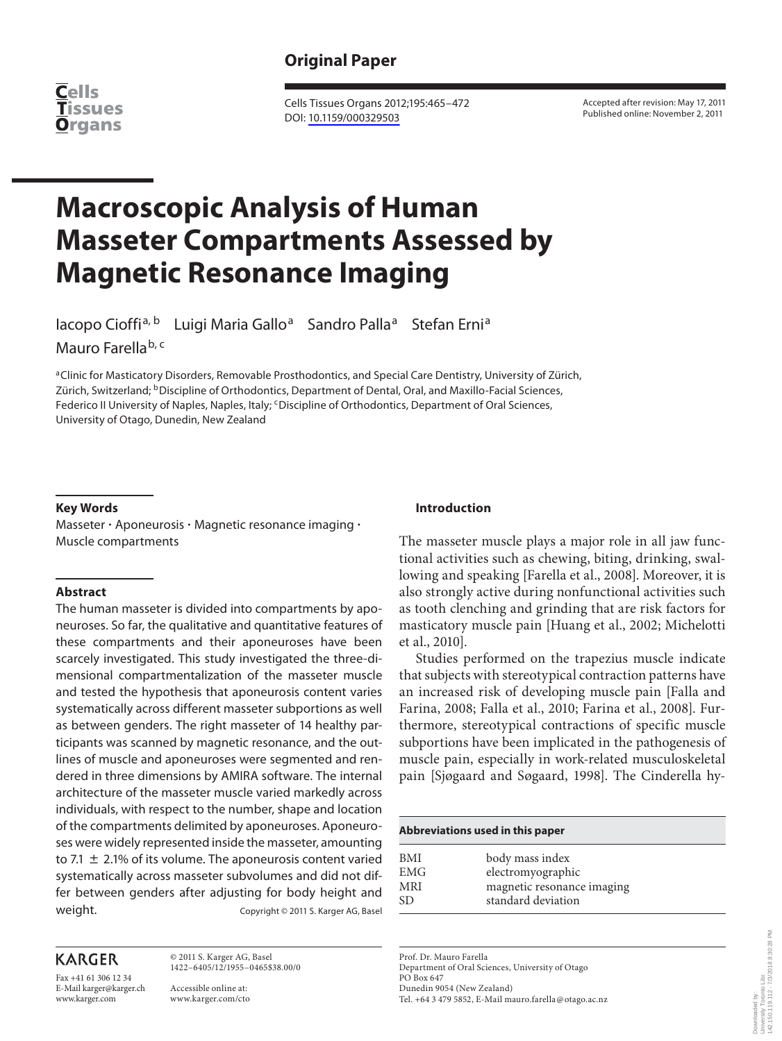# **Original Paper**



 Cells Tissues Organs 2012;195:465–472 DOI: [10.1159/000329503](http://dx.doi.org/10.1159%2F000329503)

 Accepted after revision: May 17, 2011 Published online: November 2, 2011

# **Macroscopic Analysis of Human Masseter Compartments Assessed by Magnetic Resonance Imaging**

lacopo Cioffi<sup>a, b</sup> Luigi Maria Gallo<sup>a</sup> Sandro Palla<sup>a</sup> Stefan Erni<sup>a</sup> Mauro Farella<sup>b, c</sup>

a Clinic for Masticatory Disorders, Removable Prosthodontics, and Special Care Dentistry, University of Zürich, Zürich, Switzerland; <sup>b</sup> Discipline of Orthodontics, Department of Dental, Oral, and Maxillo-Facial Sciences, Federico II University of Naples, Naples, Italy; <sup>c</sup> Discipline of Orthodontics, Department of Oral Sciences, University of Otago, Dunedin, New Zealand

## **Key Words**

Masseter · Aponeurosis · Magnetic resonance imaging · Muscle compartments

#### **Abstract**

 The human masseter is divided into compartments by aponeuroses. So far, the qualitative and quantitative features of these compartments and their aponeuroses have been scarcely investigated. This study investigated the three-dimensional compartmentalization of the masseter muscle and tested the hypothesis that aponeurosis content varies systematically across different masseter subportions as well as between genders. The right masseter of 14 healthy participants was scanned by magnetic resonance, and the outlines of muscle and aponeuroses were segmented and rendered in three dimensions by AMIRA software. The internal architecture of the masseter muscle varied markedly across individuals, with respect to the number, shape and location of the compartments delimited by aponeuroses. Aponeuroses were widely represented inside the masseter, amounting to 7.1  $\pm$  2.1% of its volume. The aponeurosis content varied systematically across masseter subvolumes and did not differ between genders after adjusting for body height and Weight. Weight. Copyright © 2011 S. Karger AG, Basel

# **KARGER**

Fax +41 61 306 12 34 E-Mail karger@karger.ch www.karger.com

 © 2011 S. Karger AG, Basel 1422–6405/12/1955–0465\$38.00/0

 Accessible online at: www.karger.com/cto

## **Introduction**

 The masseter muscle plays a major role in all jaw functional activities such as chewing, biting, drinking, swallowing and speaking [Farella et al., 2008]. Moreover, it is also strongly active during nonfunctional activities such as tooth clenching and grinding that are risk factors for masticatory muscle pain [Huang et al., 2002; Michelotti et al., 2010].

 Studies performed on the trapezius muscle indicate that subjects with stereotypical contraction patterns have an increased risk of developing muscle pain [Falla and Farina, 2008; Falla et al., 2010; Farina et al., 2008]. Furthermore, stereotypical contractions of specific muscle subportions have been implicated in the pathogenesis of muscle pain, especially in work-related musculoskeletal pain [Sjøgaard and Søgaard, 1998]. The Cinderella hy-

| Abbreviations used in this paper |                            |  |  |
|----------------------------------|----------------------------|--|--|
| BMI                              | body mass index            |  |  |
| EMG                              | electromyographic          |  |  |
| MRI                              | magnetic resonance imaging |  |  |
| SD                               | standard deviation         |  |  |

 Prof. Dr. Mauro Farella Department of Oral Sciences, University of Otago PO Box 647 Dunedin 9054 (New Zealand) Tel. +64 3 479 5852, E-Mail mauro.farella @ otago.ac.nz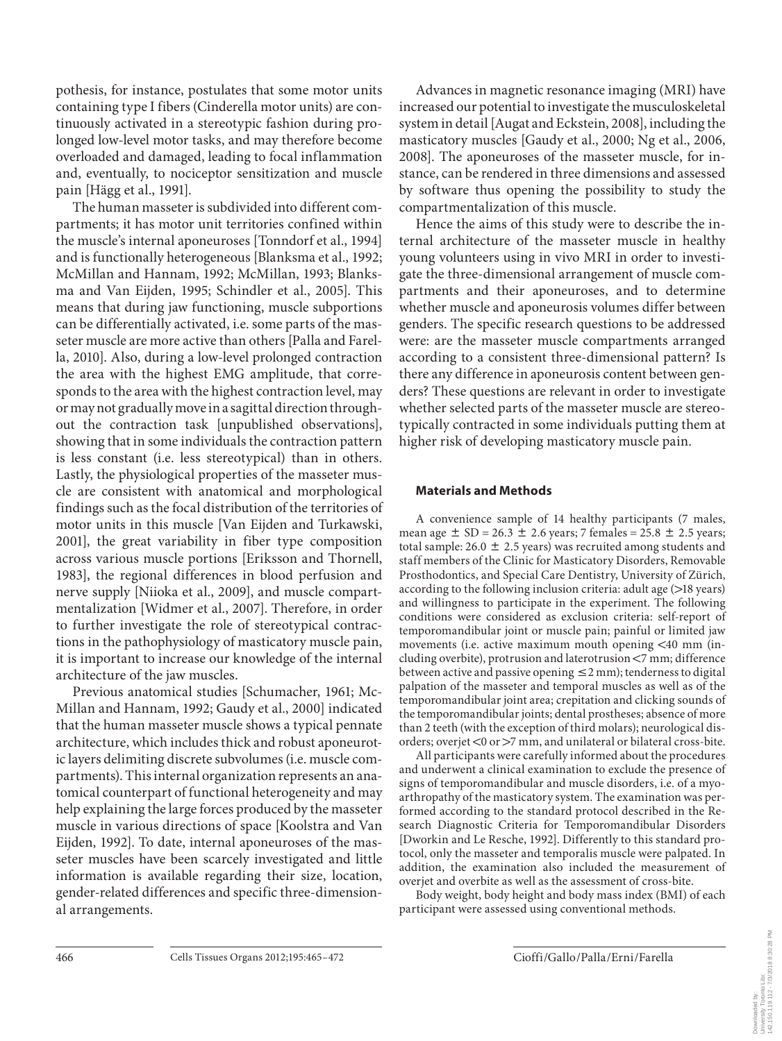pothesis, for instance, postulates that some motor units containing type I fibers (Cinderella motor units) are continuously activated in a stereotypic fashion during prolonged low-level motor tasks, and may therefore become overloaded and damaged, leading to focal inflammation and, eventually, to nociceptor sensitization and muscle pain [Hägg et al., 1991].

 The human masseter is subdivided into different compartments; it has motor unit territories confined within the muscle's internal aponeuroses [Tonndorf et al., 1994] and is functionally heterogeneous [Blanksma et al., 1992; McMillan and Hannam, 1992; McMillan, 1993; Blanksma and Van Eijden, 1995; Schindler et al., 2005]. This means that during jaw functioning, muscle subportions can be differentially activated, i.e. some parts of the masseter muscle are more active than others [Palla and Farella, 2010]. Also, during a low-level prolonged contraction the area with the highest EMG amplitude, that corresponds to the area with the highest contraction level, may or may not gradually move in a sagittal direction throughout the contraction task [unpublished observations], showing that in some individuals the contraction pattern is less constant (i.e. less stereotypical) than in others. Lastly, the physiological properties of the masseter muscle are consistent with anatomical and morphological findings such as the focal distribution of the territories of motor units in this muscle [Van Eijden and Turkawski, 2001], the great variability in fiber type composition across various muscle portions [Eriksson and Thornell, 1983], the regional differences in blood perfusion and nerve supply [Niioka et al., 2009], and muscle compartmentalization [Widmer et al., 2007]. Therefore, in order to further investigate the role of stereotypical contractions in the pathophysiology of masticatory muscle pain, it is important to increase our knowledge of the internal architecture of the jaw muscles.

 Previous anatomical studies [Schumacher, 1961; Mc-Millan and Hannam, 1992; Gaudy et al., 2000] indicated that the human masseter muscle shows a typical pennate architecture, which includes thick and robust aponeurotic layers delimiting discrete subvolumes (i.e. muscle compartments). This internal organization represents an anatomical counterpart of functional heterogeneity and may help explaining the large forces produced by the masseter muscle in various directions of space [Koolstra and Van Eijden, 1992]. To date, internal aponeuroses of the masseter muscles have been scarcely investigated and little information is available regarding their size, location, gender-related differences and specific three-dimensional arrangements.

 Advances in magnetic resonance imaging (MRI) have increased our potential to investigate the musculoskeletal system in detail [Augat and Eckstein, 2008], including the masticatory muscles [Gaudy et al., 2000; Ng et al., 2006, 2008]. The aponeuroses of the masseter muscle, for instance, can be rendered in three dimensions and assessed by software thus opening the possibility to study the compartmentalization of this muscle.

 Hence the aims of this study were to describe the internal architecture of the masseter muscle in healthy young volunteers using in vivo MRI in order to investigate the three-dimensional arrangement of muscle compartments and their aponeuroses, and to determine whether muscle and aponeurosis volumes differ between genders. The specific research questions to be addressed were: are the masseter muscle compartments arranged according to a consistent three-dimensional pattern? Is there any difference in aponeurosis content between genders? These questions are relevant in order to investigate whether selected parts of the masseter muscle are stereotypically contracted in some individuals putting them at higher risk of developing masticatory muscle pain.

## **Materials and Methods**

 A convenience sample of 14 healthy participants (7 males, mean age  $\pm$  SD = 26.3  $\pm$  2.6 years; 7 females = 25.8  $\pm$  2.5 years; total sample:  $26.0 \pm 2.5$  years) was recruited among students and staff members of the Clinic for Masticatory Disorders, Removable Prosthodontics, and Special Care Dentistry, University of Zürich, according to the following inclusion criteria: adult age  $(>18$  years) and willingness to participate in the experiment. The following conditions were considered as exclusion criteria: self-report of temporomandibular joint or muscle pain; painful or limited jaw movements (i.e. active maximum mouth opening  $\leq 40$  mm (including overbite), protrusion and laterotrusion  $\leq 7$  mm; difference between active and passive opening  $\leq$  2 mm); tenderness to digital palpation of the masseter and temporal muscles as well as of the temporomandibular joint area; crepitation and clicking sounds of the temporomandibular joints; dental prostheses; absence of more than 2 teeth (with the exception of third molars); neurological disorders; overjet  $\leq 0$  or  $>7$  mm, and unilateral or bilateral cross-bite.

 All participants were carefully informed about the procedures and underwent a clinical examination to exclude the presence of signs of temporomandibular and muscle disorders, i.e. of a myoarthropathy of the masticatory system. The examination was performed according to the standard protocol described in the Research Diagnostic Criteria for Temporomandibular Disorders [Dworkin and Le Resche, 1992]. Differently to this standard protocol, only the masseter and temporalis muscle were palpated. In addition, the examination also included the measurement of overjet and overbite as well as the assessment of cross-bite.

 Body weight, body height and body mass index (BMI) of each participant were assessed using conventional methods.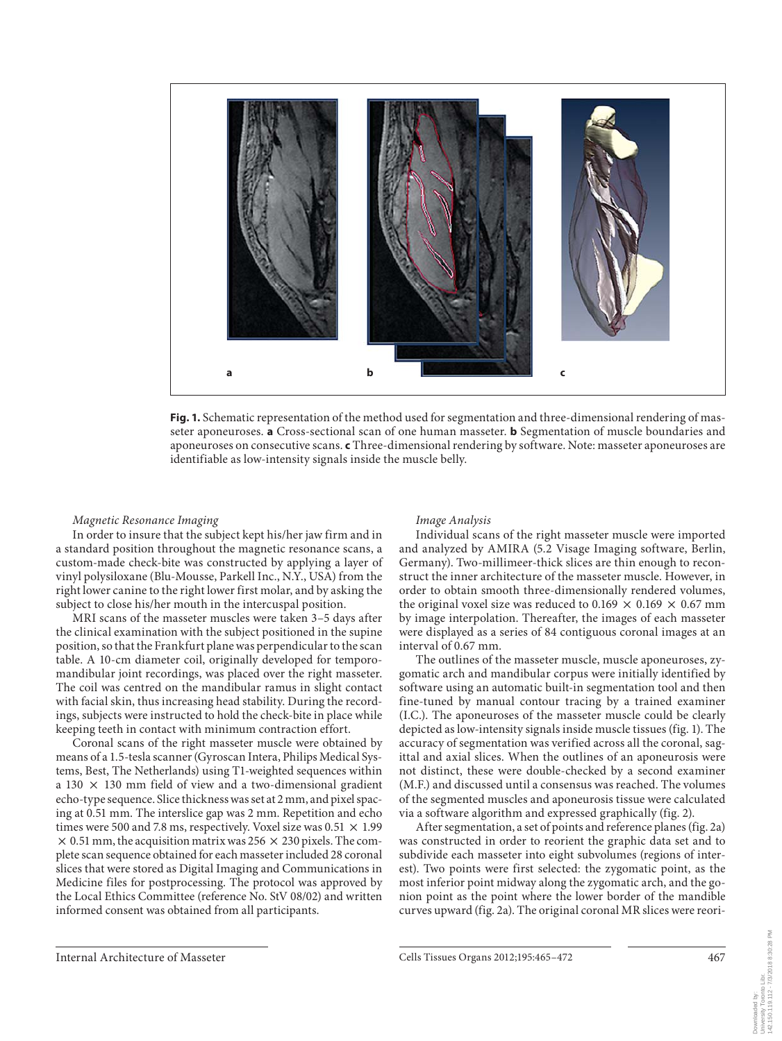

**Fig. 1.** Schematic representation of the method used for segmentation and three-dimensional rendering of masseter aponeuroses. **a** Cross-sectional scan of one human masseter. **b** Segmentation of muscle boundaries and aponeuroses on consecutive scans. **c** Three-dimensional rendering by software. Note: masseter aponeuroses are identifiable as low-intensity signals inside the muscle belly.

#### *Magnetic Resonance Imaging*

 In order to insure that the subject kept his/her jaw firm and in a standard position throughout the magnetic resonance scans, a custom-made check-bite was constructed by applying a layer of vinyl polysiloxane (Blu-Mousse, Parkell Inc., N.Y., USA) from the right lower canine to the right lower first molar, and by asking the subject to close his/her mouth in the intercuspal position.

 MRI scans of the masseter muscles were taken 3–5 days after the clinical examination with the subject positioned in the supine position, so that the Frankfurt plane was perpendicular to the scan table. A 10-cm diameter coil, originally developed for temporomandibular joint recordings, was placed over the right masseter. The coil was centred on the mandibular ramus in slight contact with facial skin, thus increasing head stability. During the recordings, subjects were instructed to hold the check-bite in place while keeping teeth in contact with minimum contraction effort.

 Coronal scans of the right masseter muscle were obtained by means of a 1.5-tesla scanner (Gyroscan Intera, Philips Medical Systems, Best, The Netherlands) using T1-weighted sequences within a 130  $\times$  130 mm field of view and a two-dimensional gradient echo-type sequence. Slice thickness was set at 2 mm, and pixel spacing at 0.51 mm. The interslice gap was 2 mm. Repetition and echo times were 500 and 7.8 ms, respectively. Voxel size was  $0.51 \times 1.99$  $\times$  0.51 mm, the acquisition matrix was 256  $\times$  230 pixels. The complete scan sequence obtained for each masseter included 28 coronal slices that were stored as Digital Imaging and Communications in Medicine files for postprocessing. The protocol was approved by the Local Ethics Committee (reference No. StV 08/02) and written informed consent was obtained from all participants.

#### *Image Analysis*

 Individual scans of the right masseter muscle were imported and analyzed by AMIRA (5.2 Visage Imaging software, Berlin, Germany). Two-millimeer-thick slices are thin enough to reconstruct the inner architecture of the masseter muscle. However, in order to obtain smooth three-dimensionally rendered volumes, the original voxel size was reduced to 0.169  $\times$  0.169  $\times$  0.67 mm by image interpolation. Thereafter, the images of each masseter were displayed as a series of 84 contiguous coronal images at an interval of 0.67 mm.

 The outlines of the masseter muscle, muscle aponeuroses, zygomatic arch and mandibular corpus were initially identified by software using an automatic built-in segmentation tool and then fine-tuned by manual contour tracing by a trained examiner (I.C.). The aponeuroses of the masseter muscle could be clearly depicted as low-intensity signals inside muscle tissues (fig. 1). The accuracy of segmentation was verified across all the coronal, sagittal and axial slices. When the outlines of an aponeurosis were not distinct, these were double-checked by a second examiner (M.F.) and discussed until a consensus was reached. The volumes of the segmented muscles and aponeurosis tissue were calculated via a software algorithm and expressed graphically (fig. 2).

After segmentation, a set of points and reference planes (fig. 2a) was constructed in order to reorient the graphic data set and to subdivide each masseter into eight subvolumes (regions of interest). Two points were first selected: the zygomatic point, as the most inferior point midway along the zygomatic arch, and the gonion point as the point where the lower border of the mandible curves upward (fig. 2a). The original coronal MR slices were reori-

Jniversity Toronto Libr.<br>142.150.119.112 - 7/3/2018 8:30:28 PM 142.150.119.112 - 7/3/2018 8:30:28 PMUniversity Toronto Libr. Downloaded by: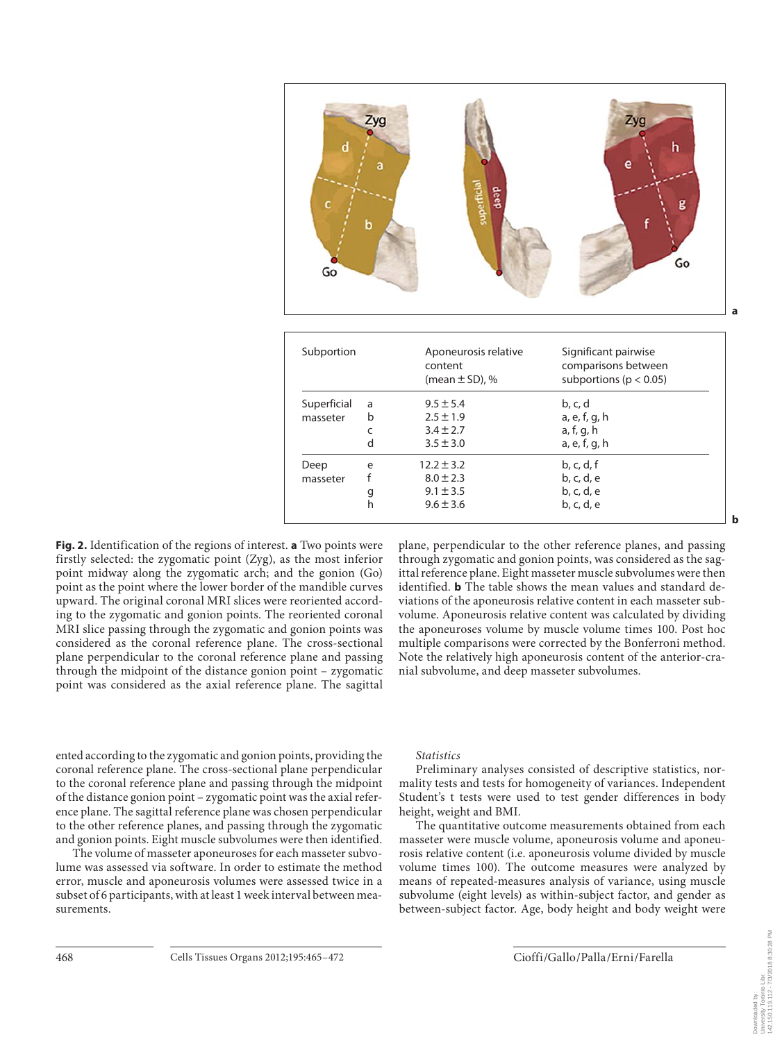| d<br>Go     | Zyg<br>a<br>b | superficia<br>deep                                    | Zyg<br>h<br>e<br>g<br>Go                                                  |
|-------------|---------------|-------------------------------------------------------|---------------------------------------------------------------------------|
| Subportion  |               | Aponeurosis relative<br>content<br>(mean $\pm$ SD), % | Significant pairwise<br>comparisons between<br>subportions ( $p < 0.05$ ) |
| Superficial | a             | $9.5 \pm 5.4$                                         | b, c, d                                                                   |
| masseter    | b             | $2.5 \pm 1.9$                                         | a, e, f, g, h                                                             |
|             | C             | $3.4 \pm 2.7$                                         | a, f, g, h                                                                |
|             | d             | $3.5 \pm 3.0$                                         | a, e, f, g, h                                                             |
| Deep        | e             | $12.2 \pm 3.2$                                        | b, c, d, f                                                                |
| masseter    | f             | $8.0 \pm 2.3$                                         | b, c, d, e                                                                |
|             | g             | $9.1 \pm 3.5$                                         | b, c, d, e                                                                |
|             | $\mathsf{h}$  | $9.6 \pm 3.6$                                         | b, c, d, e                                                                |

**Fig. 2.** Identification of the regions of interest. **a** Two points were firstly selected: the zygomatic point (Zyg), as the most inferior point midway along the zygomatic arch; and the gonion (Go) point as the point where the lower border of the mandible curves upward. The original coronal MRI slices were reoriented according to the zygomatic and gonion points. The reoriented coronal MRI slice passing through the zygomatic and gonion points was considered as the coronal reference plane. The cross-sectional plane perpendicular to the coronal reference plane and passing through the midpoint of the distance gonion point – zygomatic point was considered as the axial reference plane. The sagittal

plane, perpendicular to the other reference planes, and passing through zygomatic and gonion points, was considered as the sagittal reference plane. Eight masseter muscle subvolumes were then identified. **b** The table shows the mean values and standard deviations of the aponeurosis relative content in each masseter subvolume. Aponeurosis relative content was calculated by dividing the aponeuroses volume by muscle volume times 100. Post hoc multiple comparisons were corrected by the Bonferroni method. Note the relatively high aponeurosis content of the anterior-cranial subvolume, and deep masseter subvolumes.

ented according to the zygomatic and gonion points, providing the coronal reference plane. The cross-sectional plane perpendicular to the coronal reference plane and passing through the midpoint of the distance gonion point – zygomatic point was the axial reference plane. The sagittal reference plane was chosen perpendicular to the other reference planes, and passing through the zygomatic and gonion points. Eight muscle subvolumes were then identified.

 The volume of masseter aponeuroses for each masseter subvolume was assessed via software. In order to estimate the method error, muscle and aponeurosis volumes were assessed twice in a subset of 6 participants, with at least 1 week interval between measurements.

#### *Statistics*

 Preliminary analyses consisted of descriptive statistics, normality tests and tests for homogeneity of variances. Independent Student's t tests were used to test gender differences in body height, weight and BMI.

 The quantitative outcome measurements obtained from each masseter were muscle volume, aponeurosis volume and aponeurosis relative content (i.e. aponeurosis volume divided by muscle volume times 100). The outcome measures were analyzed by means of repeated-measures analysis of variance, using muscle subvolume (eight levels) as within-subject factor, and gender as between-subject factor. Age, body height and body weight were

 $\mathbf{b}$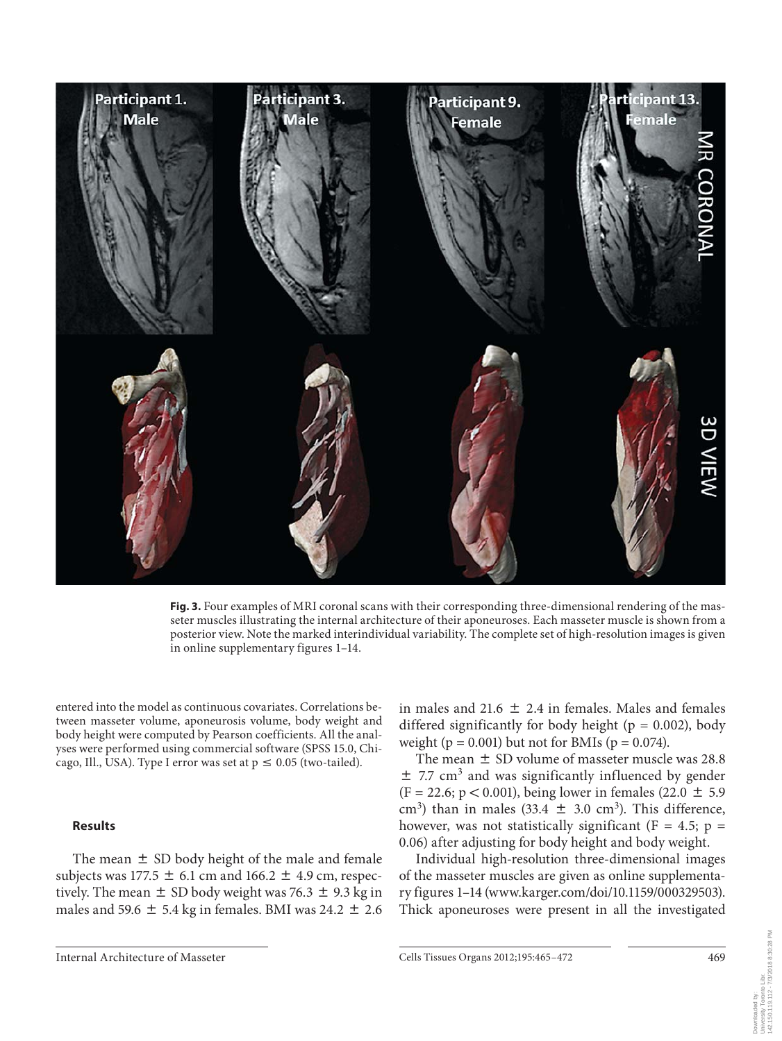

Fig. 3. Four examples of MRI coronal scans with their corresponding three-dimensional rendering of the masseter muscles illustrating the internal architecture of their aponeuroses. Each masseter muscle is shown from a posterior view. Note the marked interindividual variability. The complete set of high-resolution images is given in online supplementary figures 1–14.

entered into the model as continuous covariates. Correlations between masseter volume, aponeurosis volume, body weight and body height were computed by Pearson coefficients. All the analyses were performed using commercial software (SPSS 15.0, Chicago, Ill., USA). Type I error was set at  $p \leq 0.05$  (two-tailed).

## **Results**

The mean  $\pm$  SD body height of the male and female subjects was 177.5  $\pm$  6.1 cm and 166.2  $\pm$  4.9 cm, respectively. The mean  $\pm$  SD body weight was 76.3  $\pm$  9.3 kg in males and 59.6  $\pm$  5.4 kg in females. BMI was 24.2  $\pm$  2.6

The mean  $\pm$  SD volume of masseter muscle was 28.8  $\pm$  7.7 cm<sup>3</sup> and was significantly influenced by gender  $(F = 22.6; p < 0.001)$ , being lower in females (22.0  $\pm$  5.9 cm<sup>3</sup>) than in males (33.4  $\pm$  3.0 cm<sup>3</sup>). This difference, however, was not statistically significant (F = 4.5;  $p =$ 0.06) after adjusting for body height and body weight.

 Individual high-resolution three-dimensional images of the masseter muscles are given as online supplementary figures 1–14 (www.karger.com/doi/10.1159/000329503). Thick aponeuroses were present in all the investigated

Downloaded by: University Toronto Libr. 142.150.119.112 - 7/3/2018 8:30:28 PM

in males and 21.6  $\pm$  2.4 in females. Males and females differed significantly for body height ( $p = 0.002$ ), body weight ( $p = 0.001$ ) but not for BMIs ( $p = 0.074$ ).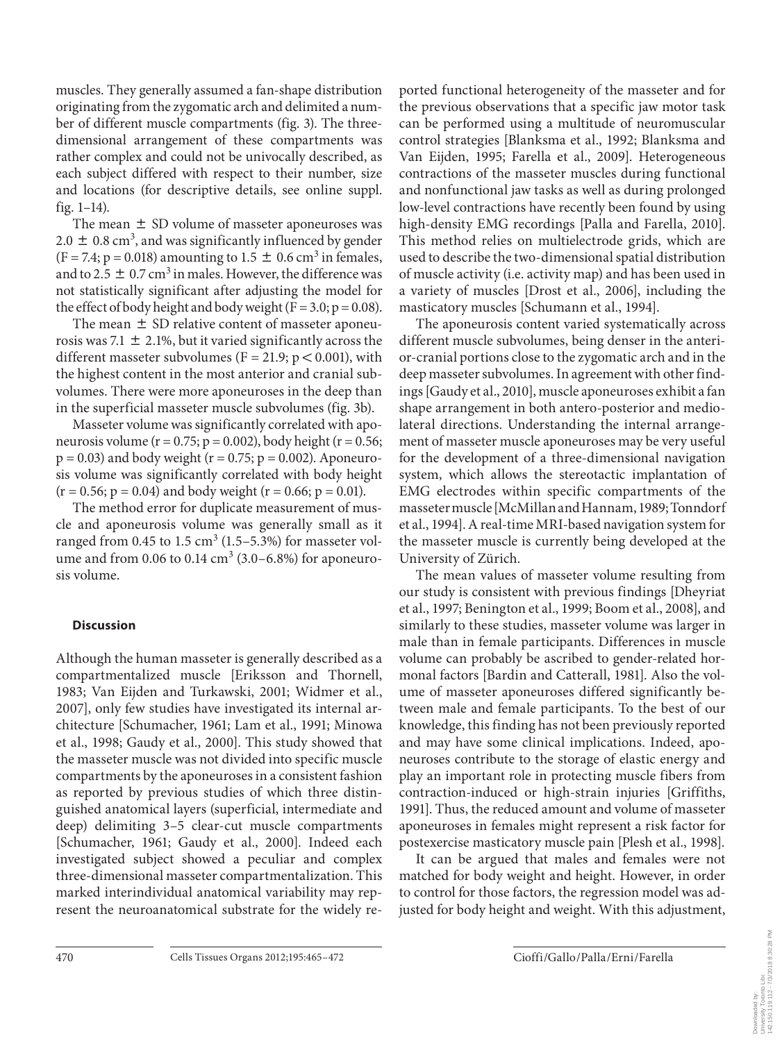muscles. They generally assumed a fan-shape distribution originating from the zygomatic arch and delimited a number of different muscle compartments (fig. 3). The threedimensional arrangement of these compartments was rather complex and could not be univocally described, as each subject differed with respect to their number, size and locations (for descriptive details, see online suppl. fig. 1–14).

The mean  $\pm$  SD volume of masseter aponeuroses was  $2.0 \pm 0.8$  cm<sup>3</sup>, and was significantly influenced by gender  $(F = 7.4; p = 0.018)$  amounting to 1.5  $\pm$  0.6 cm<sup>3</sup> in females, and to  $2.5 \pm 0.7$  cm<sup>3</sup> in males. However, the difference was not statistically significant after adjusting the model for the effect of body height and body weight ( $F = 3.0$ ;  $p = 0.08$ ).

The mean  $\pm$  SD relative content of masseter aponeurosis was 7.1  $\pm$  2.1%, but it varied significantly across the different masseter subvolumes ( $F = 21.9$ ;  $p < 0.001$ ), with the highest content in the most anterior and cranial subvolumes. There were more aponeuroses in the deep than in the superficial masseter muscle subvolumes (fig. 3b).

 Masseter volume was significantly correlated with aponeurosis volume ( $r = 0.75$ ;  $p = 0.002$ ), body height ( $r = 0.56$ ;  $p = 0.03$ ) and body weight ( $r = 0.75$ ;  $p = 0.002$ ). Aponeurosis volume was significantly correlated with body height  $(r = 0.56; p = 0.04)$  and body weight  $(r = 0.66; p = 0.01)$ .

 The method error for duplicate measurement of muscle and aponeurosis volume was generally small as it ranged from 0.45 to  $1.5 \text{ cm}^3$  (1.5–5.3%) for masseter volume and from 0.06 to 0.14  $\text{cm}^3$  (3.0–6.8%) for aponeurosis volume.

# **Discussion**

 Although the human masseter is generally described as a compartmentalized muscle [Eriksson and Thornell, 1983; Van Eijden and Turkawski, 2001; Widmer et al., 2007], only few studies have investigated its internal architecture [Schumacher, 1961; Lam et al., 1991; Minowa et al., 1998; Gaudy et al., 2000]. This study showed that the masseter muscle was not divided into specific muscle compartments by the aponeuroses in a consistent fashion as reported by previous studies of which three distinguished anatomical layers (superficial, intermediate and deep) delimiting 3–5 clear-cut muscle compartments [Schumacher, 1961; Gaudy et al., 2000]. Indeed each investigated subject showed a peculiar and complex three-dimensional masseter compartmentalization. This marked interindividual anatomical variability may represent the neuroanatomical substrate for the widely reported functional heterogeneity of the masseter and for the previous observations that a specific jaw motor task can be performed using a multitude of neuromuscular control strategies [Blanksma et al., 1992; Blanksma and Van Eijden, 1995; Farella et al., 2009]. Heterogeneous contractions of the masseter muscles during functional and nonfunctional jaw tasks as well as during prolonged low-level contractions have recently been found by using high-density EMG recordings [Palla and Farella, 2010]. This method relies on multielectrode grids, which are used to describe the two-dimensional spatial distribution of muscle activity (i.e. activity map) and has been used in a variety of muscles [Drost et al., 2006], including the masticatory muscles [Schumann et al., 1994].

 The aponeurosis content varied systematically across different muscle subvolumes, being denser in the anterior-cranial portions close to the zygomatic arch and in the deep masseter subvolumes. In agreement with other findings [Gaudy et al., 2010], muscle aponeuroses exhibit a fan shape arrangement in both antero-posterior and mediolateral directions. Understanding the internal arrangement of masseter muscle aponeuroses may be very useful for the development of a three-dimensional navigation system, which allows the stereotactic implantation of EMG electrodes within specific compartments of the masseter muscle [McMillan and Hannam, 1989; Tonndorf et al., 1994]. A real-time MRI-based navigation system for the masseter muscle is currently being developed at the University of Zürich.

 The mean values of masseter volume resulting from our study is consistent with previous findings [Dheyriat et al., 1997; Benington et al., 1999; Boom et al., 2008], and similarly to these studies, masseter volume was larger in male than in female participants. Differences in muscle volume can probably be ascribed to gender-related hormonal factors [Bardin and Catterall, 1981]. Also the volume of masseter aponeuroses differed significantly between male and female participants. To the best of our knowledge, this finding has not been previously reported and may have some clinical implications. Indeed, aponeuroses contribute to the storage of elastic energy and play an important role in protecting muscle fibers from contraction-induced or high-strain injuries [Griffiths, 1991]. Thus, the reduced amount and volume of masseter aponeuroses in females might represent a risk factor for postexercise masticatory muscle pain [Plesh et al., 1998].

 It can be argued that males and females were not matched for body weight and height. However, in order to control for those factors, the regression model was adjusted for body height and weight. With this adjustment,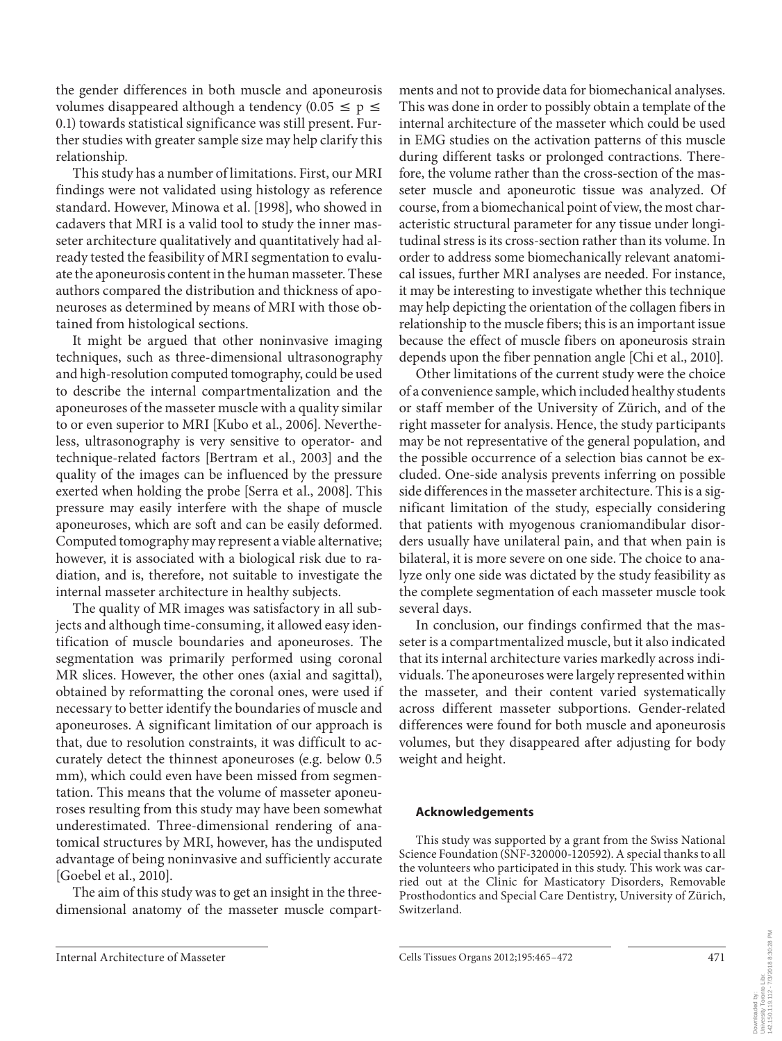the gender differences in both muscle and aponeurosis volumes disappeared although a tendency (0.05  $\leq$  p  $\leq$ 0.1) towards statistical significance was still present. Further studies with greater sample size may help clarify this relationship.

 This study has a number of limitations. First, our MRI findings were not validated using histology as reference standard. However, Minowa et al. [1998], who showed in cadavers that MRI is a valid tool to study the inner masseter architecture qualitatively and quantitatively had already tested the feasibility of MRI segmentation to evaluate the aponeurosis content in the human masseter. These authors compared the distribution and thickness of aponeuroses as determined by means of MRI with those obtained from histological sections.

 It might be argued that other noninvasive imaging techniques, such as three-dimensional ultrasonography and high-resolution computed tomography, could be used to describe the internal compartmentalization and the aponeuroses of the masseter muscle with a quality similar to or even superior to MRI [Kubo et al., 2006]. Nevertheless, ultrasonography is very sensitive to operator- and technique-related factors [Bertram et al., 2003] and the quality of the images can be influenced by the pressure exerted when holding the probe [Serra et al., 2008]. This pressure may easily interfere with the shape of muscle aponeuroses, which are soft and can be easily deformed. Computed tomography may represent a viable alternative; however, it is associated with a biological risk due to radiation, and is, therefore, not suitable to investigate the internal masseter architecture in healthy subjects.

 The quality of MR images was satisfactory in all subjects and although time-consuming, it allowed easy identification of muscle boundaries and aponeuroses. The segmentation was primarily performed using coronal MR slices. However, the other ones (axial and sagittal), obtained by reformatting the coronal ones, were used if necessary to better identify the boundaries of muscle and aponeuroses. A significant limitation of our approach is that, due to resolution constraints, it was difficult to accurately detect the thinnest aponeuroses (e.g. below 0.5 mm), which could even have been missed from segmentation. This means that the volume of masseter aponeuroses resulting from this study may have been somewhat underestimated. Three-dimensional rendering of anatomical structures by MRI, however, has the undisputed advantage of being noninvasive and sufficiently accurate [Goebel et al., 2010].

 The aim of this study was to get an insight in the threedimensional anatomy of the masseter muscle compartments and not to provide data for biomechanical analyses. This was done in order to possibly obtain a template of the internal architecture of the masseter which could be used in EMG studies on the activation patterns of this muscle during different tasks or prolonged contractions. Therefore, the volume rather than the cross-section of the masseter muscle and aponeurotic tissue was analyzed. Of course, from a biomechanical point of view, the most characteristic structural parameter for any tissue under longitudinal stress is its cross-section rather than its volume. In order to address some biomechanically relevant anatomical issues, further MRI analyses are needed. For instance, it may be interesting to investigate whether this technique may help depicting the orientation of the collagen fibers in relationship to the muscle fibers; this is an important issue because the effect of muscle fibers on aponeurosis strain depends upon the fiber pennation angle [Chi et al., 2010].

 Other limitations of the current study were the choice of a convenience sample, which included healthy students or staff member of the University of Zürich, and of the right masseter for analysis. Hence, the study participants may be not representative of the general population, and the possible occurrence of a selection bias cannot be excluded. One-side analysis prevents inferring on possible side differences in the masseter architecture. This is a significant limitation of the study, especially considering that patients with myogenous craniomandibular disorders usually have unilateral pain, and that when pain is bilateral, it is more severe on one side. The choice to analyze only one side was dictated by the study feasibility as the complete segmentation of each masseter muscle took several days.

 In conclusion, our findings confirmed that the masseter is a compartmentalized muscle, but it also indicated that its internal architecture varies markedly across individuals. The aponeuroses were largely represented within the masseter, and their content varied systematically across different masseter subportions. Gender-related differences were found for both muscle and aponeurosis volumes, but they disappeared after adjusting for body weight and height.

# **Acknowledgements**

 This study was supported by a grant from the Swiss National Science Foundation (SNF-320000-120592). A special thanks to all the volunteers who participated in this study. This work was carried out at the Clinic for Masticatory Disorders, Removable Prosthodontics and Special Care Dentistry, University of Zürich, Switzerland.

Downloaded by:<br>University Toronto Libr.<br>142.150.119.112 - 7/3/2018 8:30:28 PM 142.150.119.112 - 7/3/2018 8:30:28 PMUniversity Toronto Libr. Downloaded by: